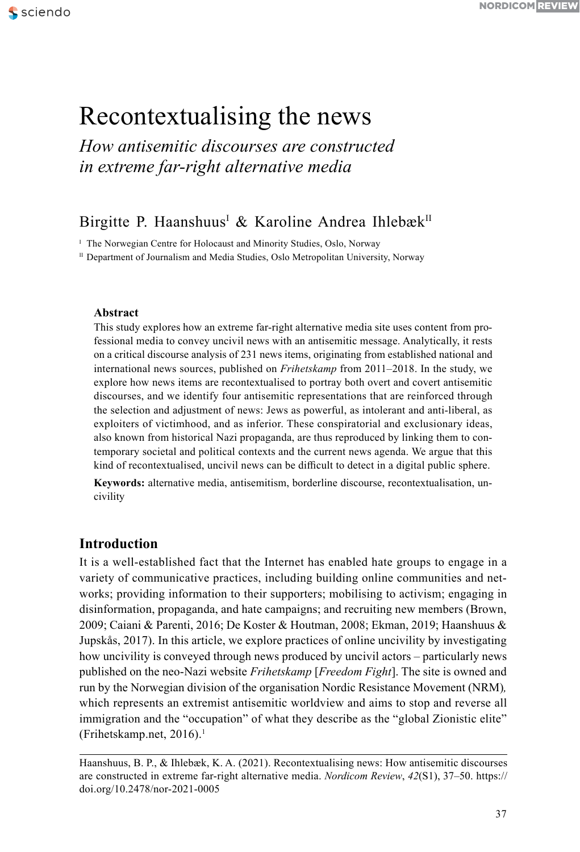# Recontextualising the news

*How antisemitic discourses are constructed in extreme far-right alternative media*

# Birgitte P. Haanshuus<sup>i</sup> & Karoline Andrea Ihlebæk<sup>II</sup>

<sup>I</sup> The Norwegian Centre for Holocaust and Minority Studies, Oslo, Norway

II Department of Journalism and Media Studies, Oslo Metropolitan University, Norway

# **Abstract**

This study explores how an extreme far-right alternative media site uses content from professional media to convey uncivil news with an antisemitic message. Analytically, it rests on a critical discourse analysis of 231 news items, originating from established national and international news sources, published on *Frihetskamp* from 2011–2018. In the study, we explore how news items are recontextualised to portray both overt and covert antisemitic discourses, and we identify four antisemitic representations that are reinforced through the selection and adjustment of [news: Jews as](news:Jews) powerful, as intolerant and anti-liberal, as exploiters of victimhood, and as inferior. These conspiratorial and exclusionary ideas, also known from historical Nazi propaganda, are thus reproduced by linking them to contemporary societal and political contexts and the current news agenda. We argue that this kind of recontextualised, uncivil news can be difficult to detect in a digital public sphere.

**Keywords:** alternative media, antisemitism, borderline discourse, recontextualisation, uncivility

# **Introduction**

It is a well-established fact that the Internet has enabled hate groups to engage in a variety of communicative practices, including building online communities and networks; providing information to their supporters; mobilising to activism; engaging in disinformation, propaganda, and hate campaigns; and recruiting new members (Brown, 2009; Caiani & Parenti, 2016; De Koster & Houtman, 2008; Ekman, 2019; Haanshuus & Jupskås, 2017). In this article, we explore practices of online uncivility by investigating how uncivility is conveyed through news produced by uncivil actors – particularly news published on the neo-Nazi website *Frihetskamp* [*Freedom Fight*]. The site is owned and run by the Norwegian division of the organisation Nordic Resistance Movement (NRM)*,*  which represents an extremist antisemitic worldview and aims to stop and reverse all immigration and the "occupation" of what they describe as the "global Zionistic elite" (Frihetskamp.net, 20[1](#page-11-0)6).<sup>1</sup>

Haanshuus, B. P., & Ihlebæk, K. A. (2021). Recontextualising [news: How an](news:How)tisemitic discourses are constructed in extreme far-right alternative media. *Nordicom Review*, *42*(S1), 37–50. https:// doi.org/[10.2478/nor-2021-0005](https://doi.org/10.2478/nor-2021-0005)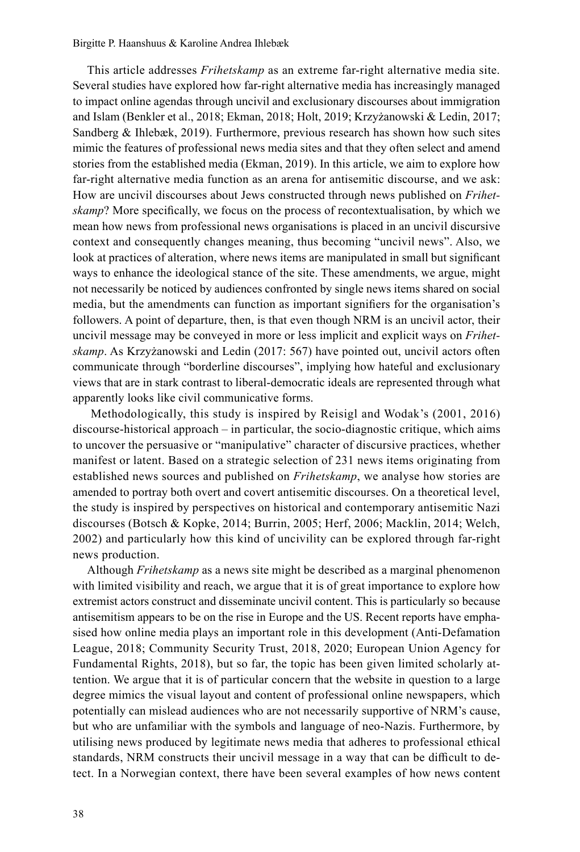This article addresses *Frihetskamp* as an extreme far-right alternative media site. Several studies have explored how far-right alternative media has increasingly managed to impact online agendas through uncivil and exclusionary discourses about immigration and Islam (Benkler et al., 2018; Ekman, 2018; Holt, 2019; Krzyżanowski & Ledin, 2017; Sandberg & Ihlebæk, 2019). Furthermore, previous research has shown how such sites mimic the features of professional news media sites and that they often select and amend stories from the established media (Ekman, 2019). In this article, we aim to explore how far-right alternative media function as an arena for antisemitic discourse, and we ask: How are uncivil discourses about Jews constructed through news published on *Frihetskamp*? More specifically, we focus on the process of recontextualisation, by which we mean how news from professional news organisations is placed in an uncivil discursive context and consequently changes meaning, thus becoming "uncivil news". Also, we look at practices of alteration, where news items are manipulated in small but significant ways to enhance the ideological stance of the site. These amendments, we argue, might not necessarily be noticed by audiences confronted by single news items shared on social media, but the amendments can function as important signifiers for the organisation's followers. A point of departure, then, is that even though NRM is an uncivil actor, their uncivil message may be conveyed in more or less implicit and explicit ways on *Frihetskamp*. As Krzyżanowski and Ledin (2017: 567) have pointed out, uncivil actors often communicate through "borderline discourses", implying how hateful and exclusionary views that are in stark contrast to liberal-democratic ideals are represented through what apparently looks like civil communicative forms.

 Methodologically, this study is inspired by Reisigl and Wodak's (2001, 2016) discourse-historical approach – in particular, the socio-diagnostic critique, which aims to uncover the persuasive or "manipulative" character of discursive practices, whether manifest or latent. Based on a strategic selection of 231 news items originating from established news sources and published on *Frihetskamp*, we analyse how stories are amended to portray both overt and covert antisemitic discourses. On a theoretical level, the study is inspired by perspectives on historical and contemporary antisemitic Nazi discourses (Botsch & Kopke, 2014; Burrin, 2005; Herf, 2006; Macklin, 2014; Welch, 2002) and particularly how this kind of uncivility can be explored through far-right news production.

Although *Frihetskamp* as a news site might be described as a marginal phenomenon with limited visibility and reach, we argue that it is of great importance to explore how extremist actors construct and disseminate uncivil content. This is particularly so because antisemitism appears to be on the rise in Europe and the US. Recent reports have emphasised how online media plays an important role in this development (Anti-Defamation League, 2018; Community Security Trust, 2018, 2020; European Union Agency for Fundamental Rights, 2018), but so far, the topic has been given limited scholarly attention. We argue that it is of particular concern that the website in question to a large degree mimics the visual layout and content of professional online newspapers, which potentially can mislead audiences who are not necessarily supportive of NRM's cause, but who are unfamiliar with the symbols and language of neo-Nazis. Furthermore, by utilising news produced by legitimate news media that adheres to professional ethical standards, NRM constructs their uncivil message in a way that can be difficult to detect. In a Norwegian context, there have been several examples of how news content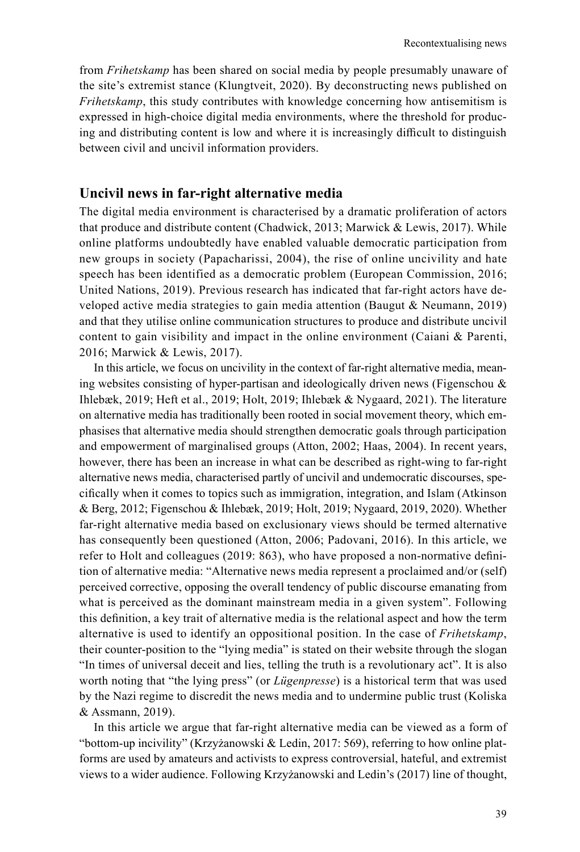from *Frihetskamp* has been shared on social media by people presumably unaware of the site's extremist stance (Klungtveit, 2020). By deconstructing news published on *Frihetskamp*, this study contributes with knowledge concerning how antisemitism is expressed in high-choice digital media environments, where the threshold for producing and distributing content is low and where it is increasingly difficult to distinguish between civil and uncivil information providers.

# **Uncivil news in far-right alternative media**

The digital media environment is characterised by a dramatic proliferation of actors that produce and distribute content (Chadwick, 2013; Marwick & Lewis, 2017). While online platforms undoubtedly have enabled valuable democratic participation from new groups in society (Papacharissi, 2004), the rise of online uncivility and hate speech has been identified as a democratic problem (European Commission, 2016; United Nations, 2019). Previous research has indicated that far-right actors have developed active media strategies to gain media attention (Baugut & Neumann, 2019) and that they utilise online communication structures to produce and distribute uncivil content to gain visibility and impact in the online environment (Caiani & Parenti, 2016; Marwick & Lewis, 2017).

In this article, we focus on uncivility in the context of far-right alternative media, meaning websites consisting of hyper-partisan and ideologically driven news (Figenschou & Ihlebæk, 2019; Heft et al., 2019; Holt, 2019; Ihlebæk & Nygaard, 2021). The literature on alternative media has traditionally been rooted in social movement theory, which emphasises that alternative media should strengthen democratic goals through participation and empowerment of marginalised groups (Atton, 2002; Haas, 2004). In recent years, however, there has been an increase in what can be described as right-wing to far-right alternative news media, characterised partly of uncivil and undemocratic discourses, specifically when it comes to topics such as immigration, integration, and Islam (Atkinson & Berg, 2012; Figenschou & Ihlebæk, 2019; Holt, 2019; Nygaard, 2019, 2020). Whether far-right alternative media based on exclusionary views should be termed alternative has consequently been questioned (Atton, 2006; Padovani, 2016). In this article, we refer to Holt and colleagues (2019: 863), who have proposed a non-normative definition of alternative media: "Alternative news media represent a proclaimed and/or (self) perceived corrective, opposing the overall tendency of public discourse emanating from what is perceived as the dominant mainstream media in a given system". Following this definition, a key trait of alternative media is the relational aspect and how the term alternative is used to identify an oppositional position. In the case of *Frihetskamp*, their counter-position to the "lying media" is stated on their website through the slogan "In times of universal deceit and lies, telling the truth is a revolutionary act". It is also worth noting that "the lying press" (or *Lügenpresse*) is a historical term that was used by the Nazi regime to discredit the news media and to undermine public trust (Koliska & Assmann, 2019).

In this article we argue that far-right alternative media can be viewed as a form of "bottom-up incivility" (Krzyżanowski & Ledin, 2017: 569), referring to how online platforms are used by amateurs and activists to express controversial, hateful, and extremist views to a wider audience. Following Krzyżanowski and Ledin's (2017) line of thought,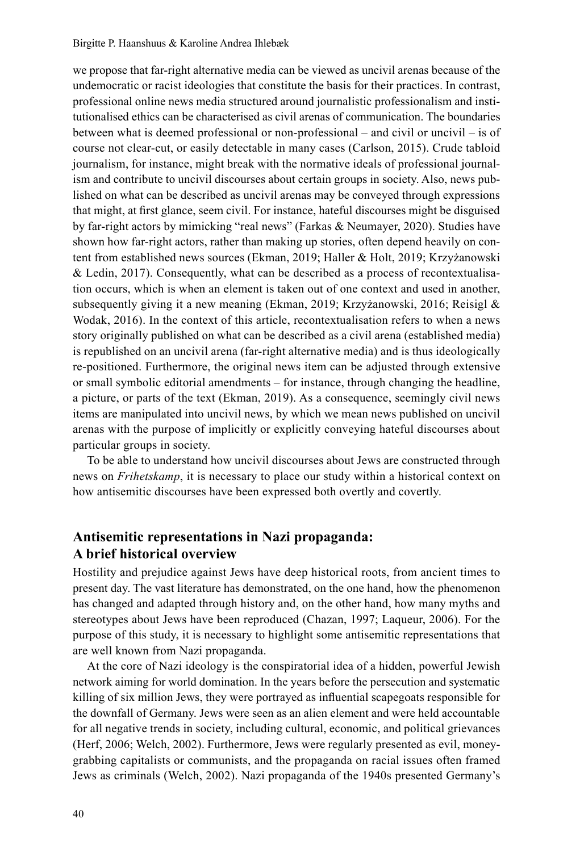we propose that far-right alternative media can be viewed as uncivil arenas because of the undemocratic or racist ideologies that constitute the basis for their practices. In contrast, professional online news media structured around journalistic professionalism and institutionalised ethics can be characterised as civil arenas of communication. The boundaries between what is deemed professional or non-professional – and civil or uncivil – is of course not clear-cut, or easily detectable in many cases (Carlson, 2015). Crude tabloid journalism, for instance, might break with the normative ideals of professional journalism and contribute to uncivil discourses about certain groups in society. Also, news published on what can be described as uncivil arenas may be conveyed through expressions that might, at first glance, seem civil. For instance, hateful discourses might be disguised by far-right actors by mimicking "real news" (Farkas & Neumayer, 2020). Studies have shown how far-right actors, rather than making up stories, often depend heavily on content from established news sources (Ekman, 2019; Haller & Holt, 2019; Krzyżanowski & Ledin, 2017). Consequently, what can be described as a process of recontextualisation occurs, which is when an element is taken out of one context and used in another, subsequently giving it a new meaning (Ekman, 2019; Krzyżanowski, 2016; Reisigl & Wodak, 2016). In the context of this article, recontextualisation refers to when a news story originally published on what can be described as a civil arena (established media) is republished on an uncivil arena (far-right alternative media) and is thus ideologically re-positioned. Furthermore, the original news item can be adjusted through extensive or small symbolic editorial amendments – for instance, through changing the headline, a picture, or parts of the text (Ekman, 2019). As a consequence, seemingly civil news items are manipulated into uncivil news, by which we mean news published on uncivil arenas with the purpose of implicitly or explicitly conveying hateful discourses about particular groups in society.

To be able to understand how uncivil discourses about Jews are constructed through news on *Frihetskamp*, it is necessary to place our study within a historical context on how antisemitic discourses have been expressed both overtly and covertly.

# **Antisemitic representations in Nazi propaganda: A brief historical overview**

Hostility and prejudice against Jews have deep historical roots, from ancient times to present day. The vast literature has demonstrated, on the one hand, how the phenomenon has changed and adapted through history and, on the other hand, how many myths and stereotypes about Jews have been reproduced (Chazan, 1997; Laqueur, 2006). For the purpose of this study, it is necessary to highlight some antisemitic representations that are well known from Nazi propaganda.

At the core of Nazi ideology is the conspiratorial idea of a hidden, powerful Jewish network aiming for world domination. In the years before the persecution and systematic killing of six million Jews, they were portrayed as influential scapegoats responsible for the downfall of Germany. Jews were seen as an alien element and were held accountable for all negative trends in society, including cultural, economic, and political grievances (Herf, 2006; Welch, 2002). Furthermore, Jews were regularly presented as evil, moneygrabbing capitalists or communists, and the propaganda on racial issues often framed Jews as criminals (Welch, 2002). Nazi propaganda of the 1940s presented Germany's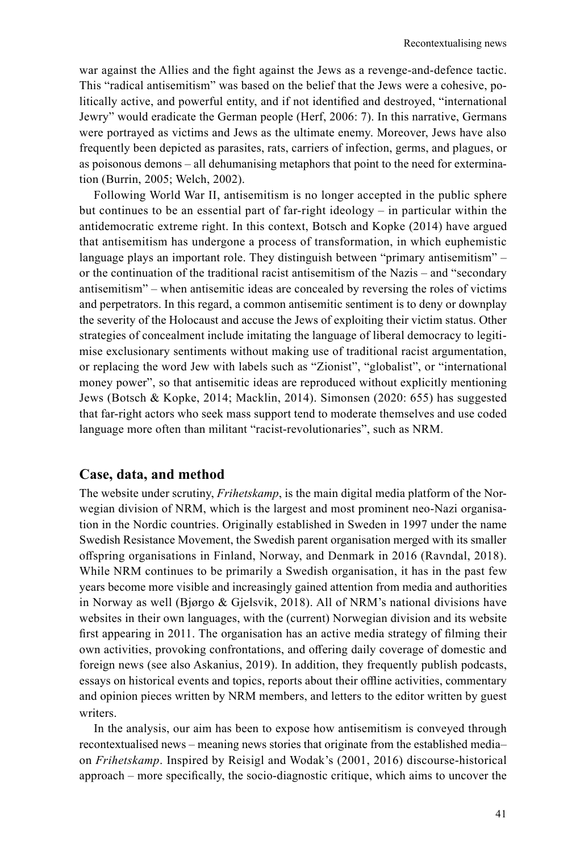war against the Allies and the fight against the Jews as a revenge-and-defence tactic. This "radical antisemitism" was based on the belief that the Jews were a cohesive, politically active, and powerful entity, and if not identified and destroyed, "international Jewry" would eradicate the German people (Herf, 2006: 7). In this narrative, Germans were portrayed as victims and Jews as the ultimate enemy. Moreover, Jews have also frequently been depicted as parasites, rats, carriers of infection, germs, and plagues, or as poisonous demons – all dehumanising metaphors that point to the need for extermination (Burrin, 2005; Welch, 2002).

Following World War II, antisemitism is no longer accepted in the public sphere but continues to be an essential part of far-right ideology – in particular within the antidemocratic extreme right. In this context, Botsch and Kopke (2014) have argued that antisemitism has undergone a process of transformation, in which euphemistic language plays an important role. They distinguish between "primary antisemitism" – or the continuation of the traditional racist antisemitism of the Nazis – and "secondary antisemitism" – when antisemitic ideas are concealed by reversing the roles of victims and perpetrators. In this regard, a common antisemitic sentiment is to deny or downplay the severity of the Holocaust and accuse the Jews of exploiting their victim status. Other strategies of concealment include imitating the language of liberal democracy to legitimise exclusionary sentiments without making use of traditional racist argumentation, or replacing the word Jew with labels such as "Zionist", "globalist", or "international money power", so that antisemitic ideas are reproduced without explicitly mentioning Jews (Botsch & Kopke, 2014; Macklin, 2014). Simonsen (2020: 655) has suggested that far-right actors who seek mass support tend to moderate themselves and use coded language more often than militant "racist-revolutionaries", such as NRM.

# **Case, data, and method**

The website under scrutiny, *Frihetskamp*, is the main digital media platform of the Norwegian division of NRM, which is the largest and most prominent neo-Nazi organisation in the Nordic countries. Originally established in Sweden in 1997 under the name Swedish Resistance Movement, the Swedish parent organisation merged with its smaller offspring organisations in Finland, Norway, and Denmark in 2016 (Ravndal, 2018). While NRM continues to be primarily a Swedish organisation, it has in the past few years become more visible and increasingly gained attention from media and authorities in Norway as well (Bjørgo & Gjelsvik, 2018). All of NRM's national divisions have websites in their own languages, with the (current) Norwegian division and its website first appearing in 2011. The organisation has an active media strategy of filming their own activities, provoking confrontations, and offering daily coverage of domestic and foreign news (see also Askanius, 2019). In addition, they frequently publish podcasts, essays on historical events and topics, reports about their offline activities, commentary and opinion pieces written by NRM members, and letters to the editor written by guest writers.

In the analysis, our aim has been to expose how antisemitism is conveyed through recontextualised news – meaning news stories that originate from the established media– on *Frihetskamp*. Inspired by Reisigl and Wodak's (2001, 2016) discourse-historical approach – more specifically, the socio-diagnostic critique, which aims to uncover the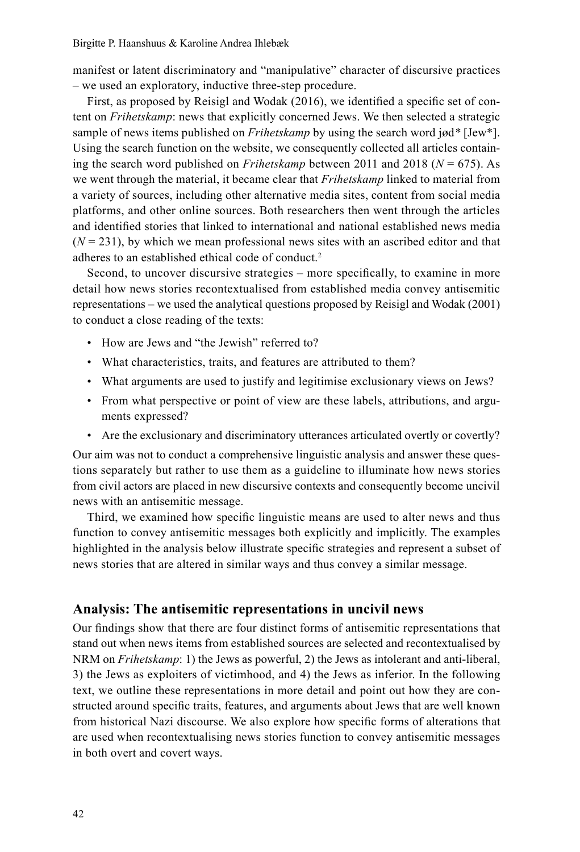manifest or latent discriminatory and "manipulative" character of discursive practices – we used an exploratory, inductive three-step procedure.

First, as proposed by Reisigl and Wodak (2016), we identified a specific set of content on *Frihetskamp*: news that explicitly concerned Jews. We then selected a strategic sample of news items published on *Frihetskamp* by using the search word jød*\** [Jew\*]. Using the search function on the website, we consequently collected all articles containing the search word published on *Frihetskamp* between 2011 and 2018 (*N* = 675). As we went through the material, it became clear that *Frihetskamp* linked to material from a variety of sources, including other alternative media sites, content from social media platforms, and other online sources. Both researchers then went through the articles and identified stories that linked to international and national established news media  $(N = 231)$ , by which we mean professional news sites with an ascribed editor and that adheres to an established ethical code of conduct[.2](#page-11-0)

Second, to uncover discursive strategies – more specifically, to examine in more detail how news stories recontextualised from established media convey antisemitic representations – we used the analytical questions proposed by Reisigl and Wodak (2001) to conduct a close reading of the texts:

- How are Jews and "the Jewish" referred to?
- What characteristics, traits, and features are attributed to them?
- What arguments are used to justify and legitimise exclusionary views on Jews?
- From what perspective or point of view are these labels, attributions, and arguments expressed?
- Are the exclusionary and discriminatory utterances articulated overtly or covertly?

Our aim was not to conduct a comprehensive linguistic analysis and answer these questions separately but rather to use them as a guideline to illuminate how news stories from civil actors are placed in new discursive contexts and consequently become uncivil news with an antisemitic message.

Third, we examined how specific linguistic means are used to alter news and thus function to convey antisemitic messages both explicitly and implicitly. The examples highlighted in the analysis below illustrate specific strategies and represent a subset of news stories that are altered in similar ways and thus convey a similar message.

## **Analysis: The antisemitic representations in uncivil news**

Our findings show that there are four distinct forms of antisemitic representations that stand out when news items from established sources are selected and recontextualised by NRM on *Frihetskamp*: 1) the Jews as powerful, 2) the Jews as intolerant and anti-liberal, 3) the Jews as exploiters of victimhood, and 4) the Jews as inferior. In the following text, we outline these representations in more detail and point out how they are constructed around specific traits, features, and arguments about Jews that are well known from historical Nazi discourse. We also explore how specific forms of alterations that are used when recontextualising news stories function to convey antisemitic messages in both overt and covert ways.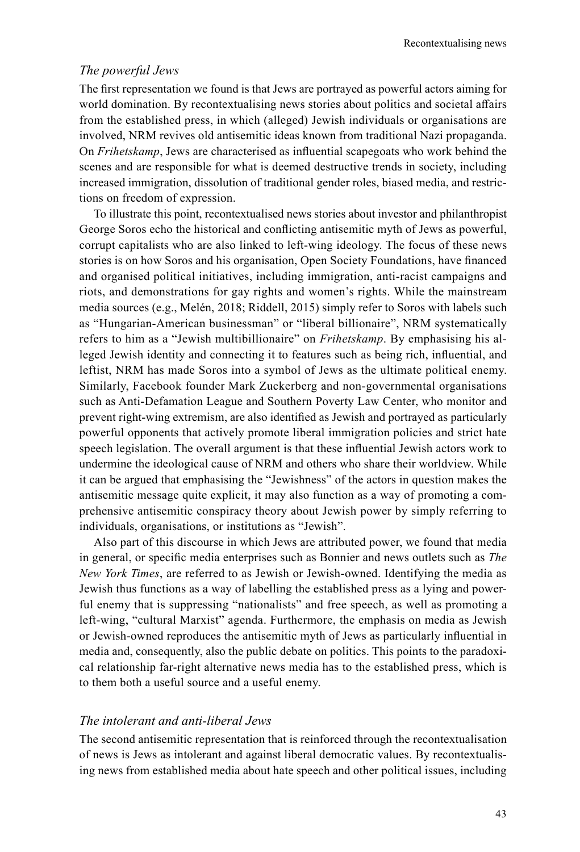#### *The powerful Jews*

The first representation we found is that Jews are portrayed as powerful actors aiming for world domination. By recontextualising news stories about politics and societal affairs from the established press, in which (alleged) Jewish individuals or organisations are involved, NRM revives old antisemitic ideas known from traditional Nazi propaganda. On *Frihetskamp*, Jews are characterised as influential scapegoats who work behind the scenes and are responsible for what is deemed destructive trends in society, including increased immigration, dissolution of traditional gender roles, biased media, and restrictions on freedom of expression.

To illustrate this point, recontextualised news stories about investor and philanthropist George Soros echo the historical and conflicting antisemitic myth of Jews as powerful, corrupt capitalists who are also linked to left-wing ideology. The focus of these news stories is on how Soros and his organisation, Open Society Foundations, have financed and organised political initiatives, including immigration, anti-racist campaigns and riots, and demonstrations for gay rights and women's rights. While the mainstream media sources (e.g., Melén, 2018; Riddell, 2015) simply refer to Soros with labels such as "Hungarian-American businessman" or "liberal billionaire", NRM systematically refers to him as a "Jewish multibillionaire" on *Frihetskamp*. By emphasising his alleged Jewish identity and connecting it to features such as being rich, influential, and leftist, NRM has made Soros into a symbol of Jews as the ultimate political enemy. Similarly, Facebook founder Mark Zuckerberg and non-governmental organisations such as Anti-Defamation League and Southern Poverty Law Center, who monitor and prevent right-wing extremism, are also identified as Jewish and portrayed as particularly powerful opponents that actively promote liberal immigration policies and strict hate speech legislation. The overall argument is that these influential Jewish actors work to undermine the ideological cause of NRM and others who share their worldview. While it can be argued that emphasising the "Jewishness" of the actors in question makes the antisemitic message quite explicit, it may also function as a way of promoting a comprehensive antisemitic conspiracy theory about Jewish power by simply referring to individuals, organisations, or institutions as "Jewish".

Also part of this discourse in which Jews are attributed power, we found that media in general, or specific media enterprises such as Bonnier and news outlets such as *The New York Times*, are referred to as Jewish or Jewish-owned. Identifying the media as Jewish thus functions as a way of labelling the established press as a lying and powerful enemy that is suppressing "nationalists" and free speech, as well as promoting a left-wing, "cultural Marxist" agenda. Furthermore, the emphasis on media as Jewish or Jewish-owned reproduces the antisemitic myth of Jews as particularly influential in media and, consequently, also the public debate on politics. This points to the paradoxical relationship far-right alternative news media has to the established press, which is to them both a useful source and a useful enemy.

# *The intolerant and anti-liberal Jews*

The second antisemitic representation that is reinforced through the recontextualisation of news is Jews as intolerant and against liberal democratic values. By recontextualising news from established media about hate speech and other political issues, including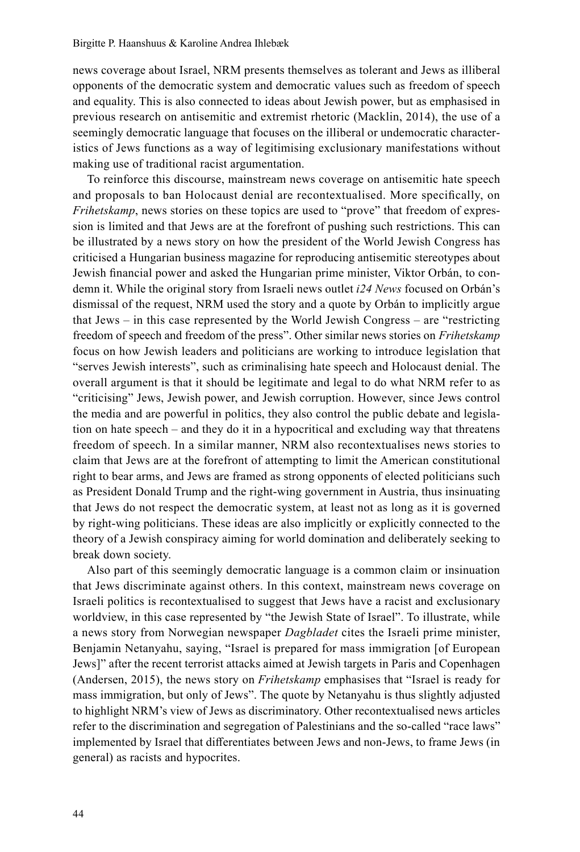news coverage about Israel, NRM presents themselves as tolerant and Jews as illiberal opponents of the democratic system and democratic values such as freedom of speech and equality. This is also connected to ideas about Jewish power, but as emphasised in previous research on antisemitic and extremist rhetoric (Macklin, 2014), the use of a seemingly democratic language that focuses on the illiberal or undemocratic characteristics of Jews functions as a way of legitimising exclusionary manifestations without making use of traditional racist argumentation.

To reinforce this discourse, mainstream news coverage on antisemitic hate speech and proposals to ban Holocaust denial are recontextualised. More specifically, on *Frihetskamp*, news stories on these topics are used to "prove" that freedom of expression is limited and that Jews are at the forefront of pushing such restrictions. This can be illustrated by a news story on how the president of the World Jewish Congress has criticised a Hungarian business magazine for reproducing antisemitic stereotypes about Jewish financial power and asked the Hungarian prime minister, Viktor Orbán, to condemn it. While the original story from Israeli news outlet *i24 News* focused on Orbán's dismissal of the request, NRM used the story and a quote by Orbán to implicitly argue that Jews – in this case represented by the World Jewish Congress – are "restricting freedom of speech and freedom of the press". Other similar news stories on *Frihetskamp* focus on how Jewish leaders and politicians are working to introduce legislation that "serves Jewish interests", such as criminalising hate speech and Holocaust denial. The overall argument is that it should be legitimate and legal to do what NRM refer to as "criticising" Jews, Jewish power, and Jewish corruption. However, since Jews control the media and are powerful in politics, they also control the public debate and legislation on hate speech – and they do it in a hypocritical and excluding way that threatens freedom of speech. In a similar manner, NRM also recontextualises news stories to claim that Jews are at the forefront of attempting to limit the American constitutional right to bear arms, and Jews are framed as strong opponents of elected politicians such as President Donald Trump and the right-wing government in Austria, thus insinuating that Jews do not respect the democratic system, at least not as long as it is governed by right-wing politicians. These ideas are also implicitly or explicitly connected to the theory of a Jewish conspiracy aiming for world domination and deliberately seeking to break down society.

Also part of this seemingly democratic language is a common claim or insinuation that Jews discriminate against others. In this context, mainstream news coverage on Israeli politics is recontextualised to suggest that Jews have a racist and exclusionary worldview, in this case represented by "the Jewish State of Israel". To illustrate, while a news story from Norwegian newspaper *Dagbladet* cites the Israeli prime minister, Benjamin Netanyahu, saying, "Israel is prepared for mass immigration [of European Jews]" after the recent terrorist attacks aimed at Jewish targets in Paris and Copenhagen (Andersen, 2015), the news story on *Frihetskamp* emphasises that "Israel is ready for mass immigration, but only of Jews". The quote by Netanyahu is thus slightly adjusted to highlight NRM's view of Jews as discriminatory. Other recontextualised news articles refer to the discrimination and segregation of Palestinians and the so-called "race laws" implemented by Israel that differentiates between Jews and non-Jews, to frame Jews (in general) as racists and hypocrites.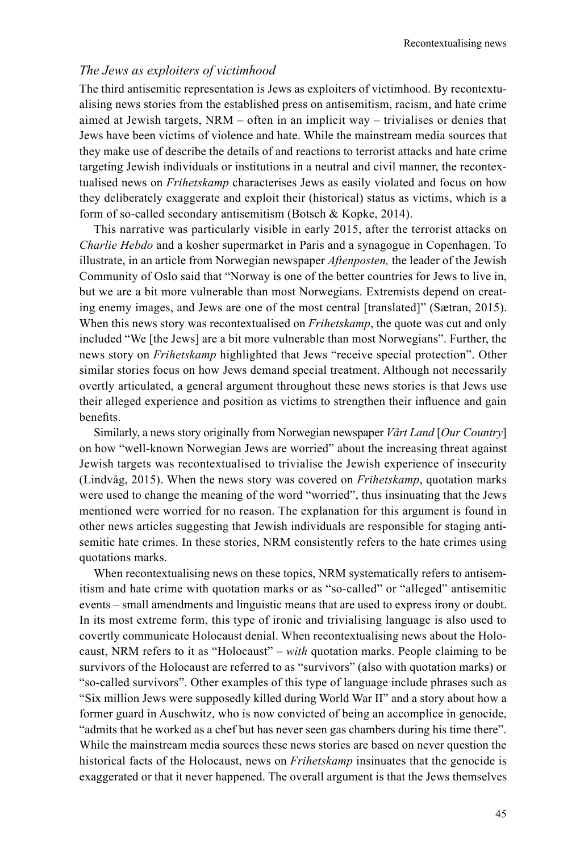## *The Jews as exploiters of victimhood*

The third antisemitic representation is Jews as exploiters of victimhood. By recontextualising news stories from the established press on antisemitism, racism, and hate crime aimed at Jewish targets, NRM – often in an implicit way – trivialises or denies that Jews have been victims of violence and hate. While the mainstream media sources that they make use of describe the details of and reactions to terrorist attacks and hate crime targeting Jewish individuals or institutions in a neutral and civil manner, the recontextualised news on *Frihetskamp* characterises Jews as easily violated and focus on how they deliberately exaggerate and exploit their (historical) status as victims, which is a form of so-called secondary antisemitism (Botsch & Kopke, 2014).

This narrative was particularly visible in early 2015, after the terrorist attacks on *Charlie Hebdo* and a kosher supermarket in Paris and a synagogue in Copenhagen. To illustrate, in an article from Norwegian newspaper *Aftenposten,* the leader of the Jewish Community of Oslo said that "Norway is one of the better countries for Jews to live in, but we are a bit more vulnerable than most Norwegians. Extremists depend on creating enemy images, and Jews are one of the most central [translated]" (Sætran, 2015). When this news story was recontextualised on *Frihetskamp*, the quote was cut and only included "We [the Jews] are a bit more vulnerable than most Norwegians". Further, the news story on *Frihetskamp* highlighted that Jews "receive special protection". Other similar stories focus on how Jews demand special treatment. Although not necessarily overtly articulated, a general argument throughout these news stories is that Jews use their alleged experience and position as victims to strengthen their influence and gain benefits.

Similarly, a news story originally from Norwegian newspaper *Vårt Land* [*Our Country*] on how "well-known Norwegian Jews are worried" about the increasing threat against Jewish targets was recontextualised to trivialise the Jewish experience of insecurity (Lindvåg, 2015). When the news story was covered on *Frihetskamp*, quotation marks were used to change the meaning of the word "worried", thus insinuating that the Jews mentioned were worried for no reason. The explanation for this argument is found in other news articles suggesting that Jewish individuals are responsible for staging antisemitic hate crimes. In these stories, NRM consistently refers to the hate crimes using quotations marks.

When recontextualising news on these topics, NRM systematically refers to antisemitism and hate crime with quotation marks or as "so-called" or "alleged" antisemitic events – small amendments and linguistic means that are used to express irony or doubt. In its most extreme form, this type of ironic and trivialising language is also used to covertly communicate Holocaust denial. When recontextualising news about the Holocaust, NRM refers to it as "Holocaust" – *with* quotation marks. People claiming to be survivors of the Holocaust are referred to as "survivors" (also with quotation marks) or "so-called survivors". Other examples of this type of language include phrases such as "Six million Jews were supposedly killed during World War II" and a story about how a former guard in Auschwitz, who is now convicted of being an accomplice in genocide, "admits that he worked as a chef but has never seen gas chambers during his time there". While the mainstream media sources these news stories are based on never question the historical facts of the Holocaust, news on *Frihetskamp* insinuates that the genocide is exaggerated or that it never happened. The overall argument is that the Jews themselves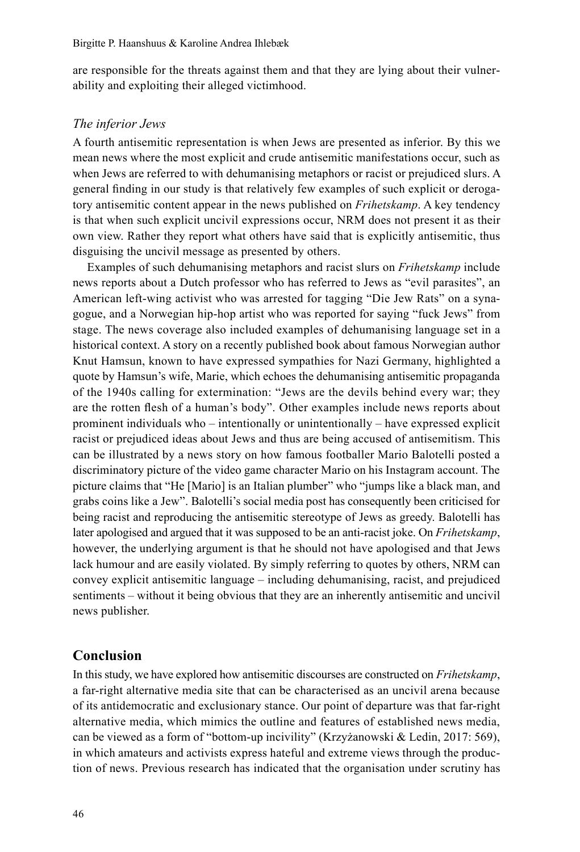are responsible for the threats against them and that they are lying about their vulnerability and exploiting their alleged victimhood.

#### *The inferior Jews*

A fourth antisemitic representation is when Jews are presented as inferior. By this we mean news where the most explicit and crude antisemitic manifestations occur, such as when Jews are referred to with dehumanising metaphors or racist or prejudiced slurs. A general finding in our study is that relatively few examples of such explicit or derogatory antisemitic content appear in the news published on *Frihetskamp*. A key tendency is that when such explicit uncivil expressions occur, NRM does not present it as their own view. Rather they report what others have said that is explicitly antisemitic, thus disguising the uncivil message as presented by others.

Examples of such dehumanising metaphors and racist slurs on *Frihetskamp* include news reports about a Dutch professor who has referred to Jews as "evil parasites", an American left-wing activist who was arrested for tagging "Die Jew Rats" on a synagogue, and a Norwegian hip-hop artist who was reported for saying "fuck Jews" from stage. The news coverage also included examples of dehumanising language set in a historical context. A story on a recently published book about famous Norwegian author Knut Hamsun, known to have expressed sympathies for Nazi Germany, highlighted a quote by Hamsun's wife, Marie, which echoes the dehumanising antisemitic propaganda of the 1940s calling for extermination: "Jews are the devils behind every war; they are the rotten flesh of a human's body". Other examples include news reports about prominent individuals who – intentionally or unintentionally – have expressed explicit racist or prejudiced ideas about Jews and thus are being accused of antisemitism. This can be illustrated by a news story on how famous footballer Mario Balotelli posted a discriminatory picture of the video game character Mario on his Instagram account. The picture claims that "He [Mario] is an Italian plumber" who "jumps like a black man, and grabs coins like a Jew". Balotelli's social media post has consequently been criticised for being racist and reproducing the antisemitic stereotype of Jews as greedy. Balotelli has later apologised and argued that it was supposed to be an anti-racist joke. On *Frihetskamp*, however, the underlying argument is that he should not have apologised and that Jews lack humour and are easily violated. By simply referring to quotes by others, NRM can convey explicit antisemitic language – including dehumanising, racist, and prejudiced sentiments – without it being obvious that they are an inherently antisemitic and uncivil news publisher.

# **Conclusion**

In this study, we have explored how antisemitic discourses are constructed on *Frihetskamp*, a far-right alternative media site that can be characterised as an uncivil arena because of its antidemocratic and exclusionary stance. Our point of departure was that far-right alternative media, which mimics the outline and features of established news media, can be viewed as a form of "bottom-up incivility" (Krzyżanowski & Ledin, 2017: 569), in which amateurs and activists express hateful and extreme views through the production of news. Previous research has indicated that the organisation under scrutiny has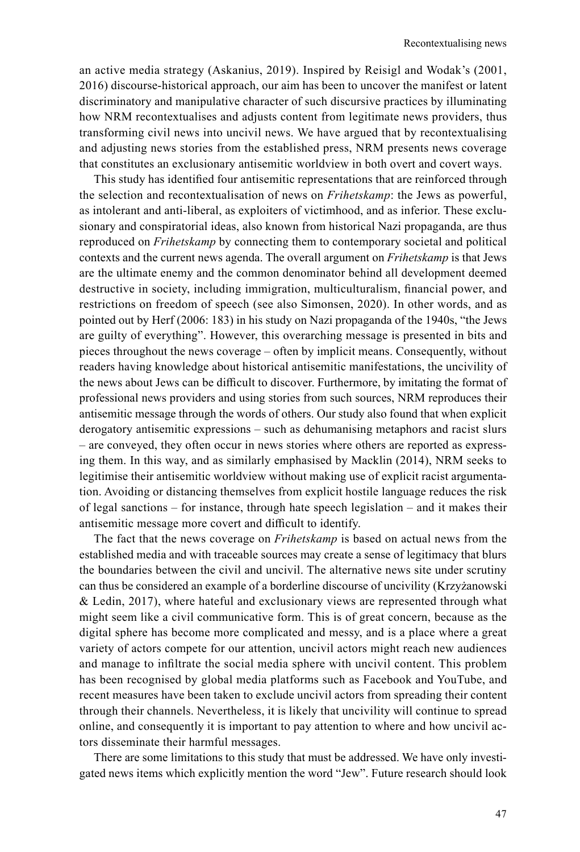an active media strategy (Askanius, 2019). Inspired by Reisigl and Wodak's (2001, 2016) discourse-historical approach, our aim has been to uncover the manifest or latent discriminatory and manipulative character of such discursive practices by illuminating how NRM recontextualises and adjusts content from legitimate news providers, thus transforming civil news into uncivil news. We have argued that by recontextualising and adjusting news stories from the established press, NRM presents news coverage that constitutes an exclusionary antisemitic worldview in both overt and covert ways.

This study has identified four antisemitic representations that are reinforced through the selection and recontextualisation of news on *Frihetskamp*: the Jews as powerful, as intolerant and anti-liberal, as exploiters of victimhood, and as inferior. These exclusionary and conspiratorial ideas, also known from historical Nazi propaganda, are thus reproduced on *Frihetskamp* by connecting them to contemporary societal and political contexts and the current news agenda. The overall argument on *Frihetskamp* is that Jews are the ultimate enemy and the common denominator behind all development deemed destructive in society, including immigration, multiculturalism, financial power, and restrictions on freedom of speech (see also Simonsen, 2020). In other words, and as pointed out by Herf (2006: 183) in his study on Nazi propaganda of the 1940s, "the Jews are guilty of everything". However, this overarching message is presented in bits and pieces throughout the news coverage – often by implicit means. Consequently, without readers having knowledge about historical antisemitic manifestations, the uncivility of the news about Jews can be difficult to discover. Furthermore, by imitating the format of professional news providers and using stories from such sources, NRM reproduces their antisemitic message through the words of others. Our study also found that when explicit derogatory antisemitic expressions – such as dehumanising metaphors and racist slurs – are conveyed, they often occur in news stories where others are reported as expressing them. In this way, and as similarly emphasised by Macklin (2014), NRM seeks to legitimise their antisemitic worldview without making use of explicit racist argumentation. Avoiding or distancing themselves from explicit hostile language reduces the risk of legal sanctions – for instance, through hate speech legislation – and it makes their antisemitic message more covert and difficult to identify.

The fact that the news coverage on *Frihetskamp* is based on actual news from the established media and with traceable sources may create a sense of legitimacy that blurs the boundaries between the civil and uncivil. The alternative news site under scrutiny can thus be considered an example of a borderline discourse of uncivility (Krzyżanowski & Ledin, 2017), where hateful and exclusionary views are represented through what might seem like a civil communicative form. This is of great concern, because as the digital sphere has become more complicated and messy, and is a place where a great variety of actors compete for our attention, uncivil actors might reach new audiences and manage to infiltrate the social media sphere with uncivil content. This problem has been recognised by global media platforms such as Facebook and YouTube, and recent measures have been taken to exclude uncivil actors from spreading their content through their channels. Nevertheless, it is likely that uncivility will continue to spread online, and consequently it is important to pay attention to where and how uncivil actors disseminate their harmful messages.

There are some limitations to this study that must be addressed. We have only investigated news items which explicitly mention the word "Jew". Future research should look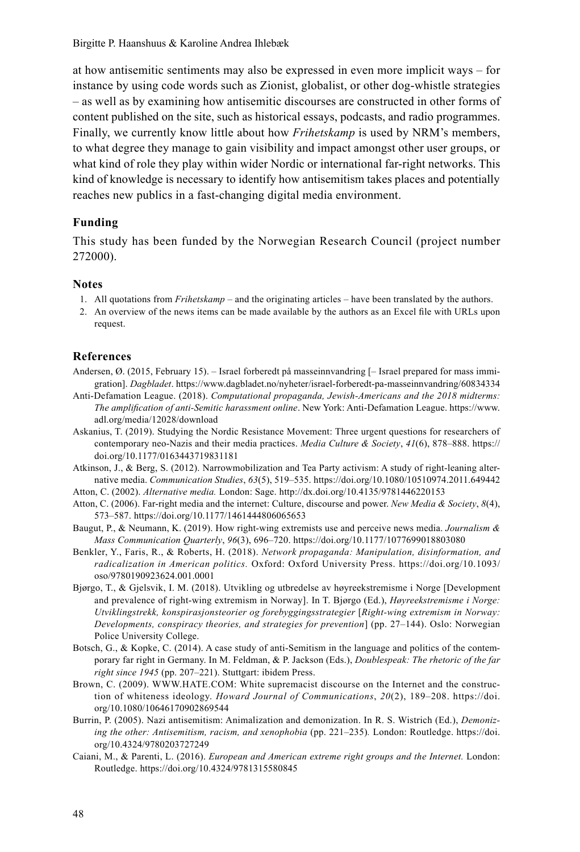<span id="page-11-0"></span>Birgitte P. Haanshuus & Karoline Andrea Ihlebæk

at how antisemitic sentiments may also be expressed in even more implicit ways – for instance by using code words such as Zionist, globalist, or other dog-whistle strategies – as well as by examining how antisemitic discourses are constructed in other forms of content published on the site, such as historical essays, podcasts, and radio programmes. Finally, we currently know little about how *Frihetskamp* is used by NRM's members, to what degree they manage to gain visibility and impact amongst other user groups, or what kind of role they play within wider Nordic or international far-right networks. This kind of knowledge is necessary to identify how antisemitism takes places and potentially reaches new publics in a fast-changing digital media environment.

# **Funding**

This study has been funded by the Norwegian Research Council (project number 272000).

#### **Notes**

- 1. All quotations from *Frihetskamp* and the originating articles have been translated by the authors.
- 2. An overview of the news items can be made available by the authors as an Excel file with URLs upon request.

#### **References**

- Andersen, Ø. (2015, February 15). Israel forberedt på masseinnvandring [– Israel prepared for mass immigration]. *Dagbladet*.<https://www.dagbladet.no/nyheter/israel-forberedt-pa-masseinnvandring/60834334>
- Anti-Defamation League. (2018). *Computational propaganda, Jewish-Americans and the 2018 midterms: The amplification of anti-Semitic harassment online*. New York: Anti-Defamation League. [https://www.](https://www) adl.org/media/12028/download
- Askanius, T. (2019). Studying the Nordic Resistance Movement: Three urgent questions for researchers of contemporary neo-Nazis and their media practices. *Media Culture & Society*, *41*(6), 878–888. [https://](https://doi.org/10.1177/0163443719831181) [doi.org/10.1177/0163443719831181](https://doi.org/10.1177/0163443719831181)
- Atkinson, J., & Berg, S. (2012). Narrowmobilization and Tea Party activism: A study of right-leaning alternative media. *Communication Studies*, *63*(5), 519–535. <https://doi.org/10.1080/10510974.2011.649442>
- Atton, C. (2002). *Alternative media.* London: Sage.<http://dx.doi.org/10.4135/9781446220153>
- Atton, C. (2006). Far-right media and the internet: Culture, discourse and power. *New Media & Society*, *8*(4), 573–587.<https://doi.org/10.1177/1461444806065653>
- Baugut, P., & Neumann, K. (2019). How right-wing extremists use and perceive news media. *Journalism & Mass Communication Quarterly*, *96*(3), 696–720. <https://doi.org/10.1177/1077699018803080>
- Benkler, Y., Faris, R., & Roberts, H. (2018). *Network propaganda: Manipulation, disinformation, and radicalization in American politics.* Oxford: Oxford University Press. <https://doi.org/10.1093/> oso/9780190923624.001.0001
- Bjørgo, T., & Gjelsvik, I. M. (2018). Utvikling og utbredelse av høyreekstremisme i Norge [Development and prevalence of right-wing extremism in Norway]. In T. Bjørgo (Ed.), *Høyreekstremisme i Norge: Utviklingstrekk, konspirasjonsteorier og forebyggingsstrategier* [*Right-wing extremism in Norway: Developments, conspiracy theories, and strategies for prevention*] (pp. 27–144). Oslo: Norwegian Police University College.
- Botsch, G., & Kopke, C. (2014). A case study of anti-Semitism in the language and politics of the contemporary far right in Germany. In M. Feldman, & P. Jackson (Eds.), *Doublespeak: The rhetoric of the far right since 1945* (pp. 207–221). Stuttgart: ibidem Press.
- Brown, C. (2009). WWW.HATE.COM: White supremacist discourse on the Internet and the construction of whiteness ideology. *Howard Journal of Communications*, *20*(2), 189–208. [https://doi.](https://doi) org/[10.1080/10646170902869544](https://doi.org/10.1080/10646170902869544)
- Burrin, P. (2005). Nazi antisemitism: Animalization and demonization. In R. S. Wistrich (Ed.), *Demonizing the other: Antisemitism, racism, and xenophobia* (pp. 221–235)*.* London: Routledge. [https://doi.](https://doi) org/10.4324/9780203727249
- Caiani, M., & Parenti, L. (2016). *European and American extreme right groups and the Internet.* London: Routledge.<https://doi.org/10.4324/9781315580845>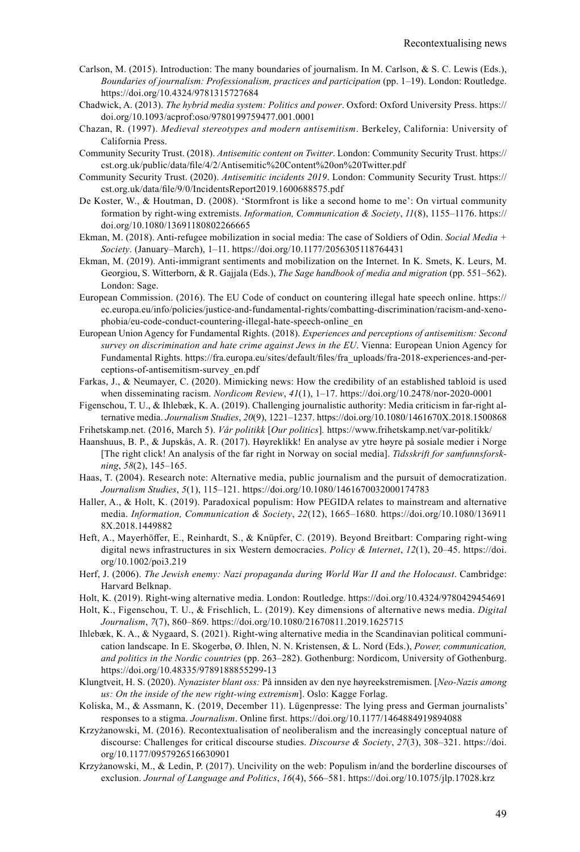- Carlson, M. (2015). Introduction: The many boundaries of journalism. In M. Carlson, & S. C. Lewis (Eds.), *Boundaries of journalism: Professionalism, practices and participation* (pp. 1–19). London: Routledge. <https://doi.org/10.4324/9781315727684>
- Chadwick, A. (2013). *The hybrid media system: Politics and power*. Oxford: Oxford University Press. [https://](https://doi.org/10.1093/acprof:oso/9780199759477.001.0001) [doi.org/10.1093/acprof:oso/9780199759477.001.0001](https://doi.org/10.1093/acprof:oso/9780199759477.001.0001)
- Chazan, R. (1997). *Medieval stereotypes and modern antisemitism*. Berkeley, California: University of California Press.
- Community Security Trust. (2018). *Antisemitic content on Twitter*. London: Community Security Trust. [https://](https://cst.org.uk/public/data/file/4/2/Antisemitic%20Content%20on%20Twitter.pdf) [cst.org.uk/public/data/file/4/2/Antisemitic%20Content%20on%20Twitter.pdf](https://cst.org.uk/public/data/file/4/2/Antisemitic%20Content%20on%20Twitter.pdf)
- Community Security Trust. (2020). *Antisemitic incidents 2019*. London: Community Security Trust. [https://](https://cst.org.uk/data/file/9/0/IncidentsReport2019.1600688575.pdf) [cst.org.uk/data/file/9/0/IncidentsReport2019.1600688575.pdf](https://cst.org.uk/data/file/9/0/IncidentsReport2019.1600688575.pdf)
- De Koster, W., & Houtman, D. (2008). 'Stormfront is like a second home to me': On virtual community formation by right-wing extremists. *Information, Communication & Society*, *11*(8), 1155–1176. [https://](https://doi.org/10.1080/13691180802266665) [doi.org/10.1080/13691180802266665](https://doi.org/10.1080/13691180802266665)
- Ekman, M. (2018). Anti-refugee mobilization in social media: The case of Soldiers of Odin. *Social Media + Society*. (January–March), 1–11.<https://doi.org/10.1177/2056305118764431>
- Ekman, M. (2019). Anti-immigrant sentiments and mobilization on the Internet. In K. Smets, K. Leurs, M. Georgiou, S. Witterborn, & R. Gajjala (Eds.), *The Sage handbook of media and migration* (pp. 551–562). London: Sage.
- European Commission. (2016). The EU Code of conduct on countering illegal hate speech online. [https://](https://ec.europa.eu/info/policies/justice-and-fundamental-rights/combatting-discrimination/racism-and-xeno-phobia/eu-code-conduct-countering-illegal-hate-speech-online_en) [ec.europa.eu/info/policies/justice-and-fundamental-rights/combatting-discrimination/racism-and-xeno](https://ec.europa.eu/info/policies/justice-and-fundamental-rights/combatting-discrimination/racism-and-xeno-phobia/eu-code-conduct-countering-illegal-hate-speech-online_en)phobia/[eu-code-conduct-countering-illegal-hate-speech-online\\_en](https://ec.europa.eu/info/policies/justice-and-fundamental-rights/combatting-discrimination/racism-and-xeno-phobia/eu-code-conduct-countering-illegal-hate-speech-online_en)
- European Union Agency for Fundamental Rights. (2018). *Experiences and perceptions of antisemitism: Second survey on discrimination and hate crime against Jews in the EU*. Vienna: European Union Agency for [Fundamental Rights. https://fra.europa.eu/sites/default/files/fra\\_uploads/fra-2018-experiences-and-per](https://fra.europa.eu/sites/default/files/fra_uploads/fra-2018-experiences-and-per-ceptions-of-antisemitism-survey_en.pdf)ceptions[-of-antisemitism-survey\\_en.pdf](https://fra.europa.eu/sites/default/files/fra_uploads/fra-2018-experiences-and-per-ceptions-of-antisemitism-survey_en.pdf)
- Farkas, J., & Neumayer, C. (2020). Mimicking [news: How th](news:How)e credibility of an established tabloid is used when disseminating racism. *Nordicom Review*, *41*(1), 1–17. <https://doi.org/10.2478/nor-2020-0001>
- Figenschou, T. U., & Ihlebæk, K. A. (2019). Challenging journalistic authority: Media criticism in far-right alternative media. *Journalism Studies*, *20*(9), 1221–1237. <https://doi.org/10.1080/1461670X.2018.1500868>

Frihetskamp.net. (2016, March 5). *Vår politikk* [*Our politics*]*.* <https://www.frihetskamp.net/var-politikk/>

- Haanshuus, B. P., & Jupskås, A. R. (2017). Høyreklikk! En analyse av ytre høyre på sosiale medier i Norge [The right click! An analysis of the far right in Norway on social media]. *Tidsskrift for samfunnsforskning*, *58*(2), 145–165.
- Haas, T. (2004). Research note: Alternative media, public journalism and the pursuit of democratization. *Journalism Studies*, *5*(1), 115–121. <https://doi.org/10.1080/1461670032000174783>
- Haller, A., & Holt, K. (2019). Paradoxical populism: How PEGIDA relates to mainstream and alternative media. *Information, Communication & Society*, *22*(12), 1665–1680*.* <https://doi.org/10.1080/136911> 8X.2018.1449882
- Heft, A., Mayerhöffer, E., Reinhardt, S., & Knüpfer, C. (2019). Beyond Breitbart: Comparing right-wing digital news infrastructures in six Western democracies. *Policy & Internet*, *12*(1), 20–45. [https://doi.](https://doi) org/10.1002/poi3.219
- Herf, J. (2006). *The Jewish enemy: Nazi propaganda during World War II and the Holocaust*. Cambridge: Harvard Belknap.
- Holt, K. (2019). Right-wing alternative media. London: Routledge. <https://doi.org/10.4324/9780429454691>
- Holt, K., Figenschou, T. U., & Frischlich, L. (2019). Key dimensions of alternative news media. *Digital Journalism*, *7*(7), 860–869. <https://doi.org/10.1080/21670811.2019.1625715>
- Ihlebæk, K. A., & Nygaard, S. (2021). Right-wing alternative media in the Scandinavian political communication landscape. In E. Skogerbø, Ø. Ihlen, N. N. Kristensen, & L. Nord (Eds.), *Power, communication, and politics in the Nordic countries* (pp. 263–282). Gothenburg: Nordicom, University of Gothenburg. <https://doi.org/10.48335/9789188855299-13>
- Klungtveit, H. S. (2020). *Nynazister blant oss:* På innsiden av den nye høyreekstremismen. [*Neo-Nazis among us: On the inside of the new right-wing extremism*]. Oslo: Kagge Forlag.
- Koliska, M., & Assmann, K. (2019, December 11). Lügenpresse: The lying press and German journalists' responses to a stigma. *Journalism*. Online first.<https://doi.org/10.1177/1464884919894088>
- Krzyżanowski, M. (2016). Recontextualisation of neoliberalism and the increasingly conceptual nature of discourse: Challenges for critical discourse studies. *Discourse & Society*, *27*(3), 308–321. [https://doi.](https://doi) org/10.1177/0957926516630901
- Krzyżanowski, M., & Ledin, P. (2017). Uncivility on the web: Populism in/and the borderline discourses of exclusion. *Journal of Language and Politics*, *16*(4), 566–581. <https://doi.org/10.1075/jlp.17028.krz>